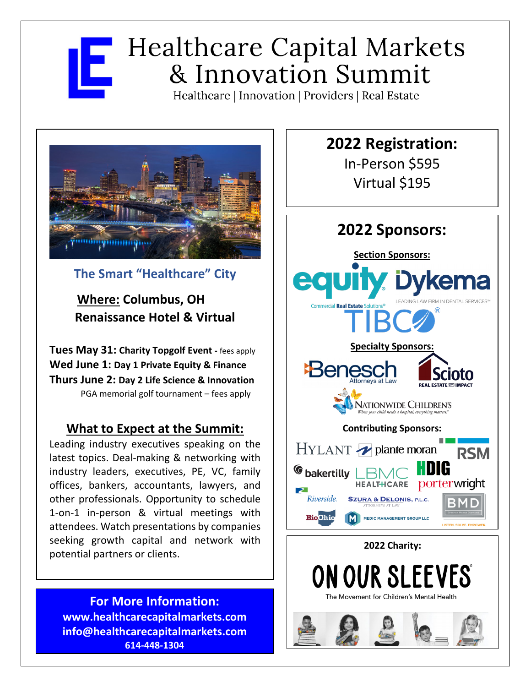# **Healthcare Capital Markets** & Innovation Summit

Healthcare | Innovation | Providers | Real Estate



## **The Smart "Healthcare" City**

**Where: Columbus, OH Renaissance Hotel & Virtual**

**Tues May 31: Charity Topgolf Event -** fees apply **Wed June 1: Day 1 Private Equity & Finance Thurs June 2: Day 2 Life Science & Innovation** PGA memorial golf tournament – fees apply

### **What to Expect at the Summit:**

Leading industry executives speaking on the latest topics. Deal-making & networking with industry leaders, executives, PE, VC, family offices, bankers, accountants, lawyers, and other professionals. Opportunity to schedule 1-on-1 in-person & virtual meetings with attendees. Watch presentations by companies seeking growth capital and network with potential partners or clients.

**For More Information: www.healthcarecapitalmarkets.com info@healthcarecapitalmarkets.com 614-448-1304**

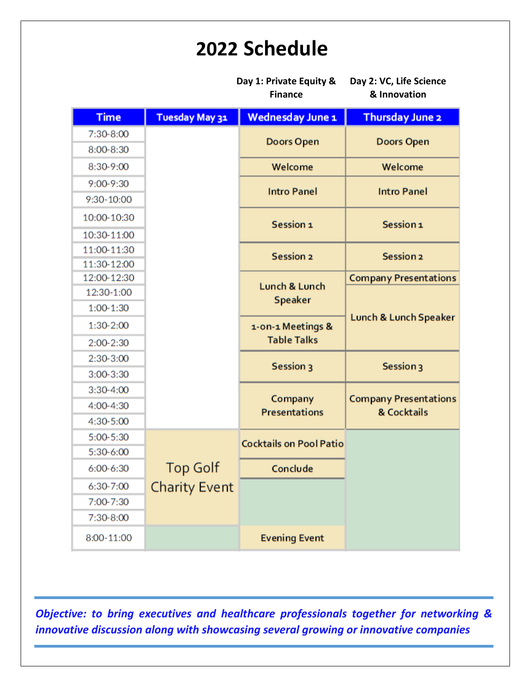# **2022 Schedule**

|               |                      | Day 1: Private Equity &<br><b>Finance</b> | Day 2: VC, Life Science<br>& Innovation     |
|---------------|----------------------|-------------------------------------------|---------------------------------------------|
| <b>Time</b>   | Tuesday May 31       | <b>Wednesday June 1</b>                   | <b>Thursday June 2</b>                      |
| 7:30-8:00     |                      | <b>Doors Open</b>                         | <b>Doors Open</b>                           |
| 8:00-8:30     |                      |                                           |                                             |
| 8:30-9:00     |                      | Welcome                                   | Welcome                                     |
| $9:00-9:30$   |                      | <b>Intro Panel</b>                        | <b>Intro Panel</b>                          |
| 9:30-10:00    |                      |                                           |                                             |
| 10:00-10:30   |                      | Session 1                                 | Session <sub>1</sub>                        |
| 10:30-11:00   |                      |                                           |                                             |
| 11:00-11:30   |                      | <b>Session 2</b>                          | Session <sub>2</sub>                        |
| 11:30-12:00   |                      |                                           |                                             |
| 12:00-12:30   |                      | Lunch & Lunch                             | <b>Company Presentations</b>                |
| 12:30-1:00    |                      | <b>Speaker</b>                            |                                             |
| 1:00-1:30     |                      |                                           | Lunch & Lunch Speaker                       |
| 1:30-2:00     |                      | 1-on-1 Meetings &                         |                                             |
| 2:00-2:30     |                      | <b>Table Talks</b>                        |                                             |
| 2:30-3:00     |                      | Session 3                                 | Session 3                                   |
| $3:00-3:30$   |                      |                                           |                                             |
| $3:30 - 4:00$ |                      |                                           |                                             |
| 4:00-4:30     |                      | Company<br><b>Presentations</b>           | <b>Company Presentations</b><br>& Cocktails |
| 4:30-5:00     |                      |                                           |                                             |
| 5:00-5:30     |                      | <b>Cocktails on Pool Patio</b>            |                                             |
| 5:30-6:00     |                      |                                           |                                             |
| 6:00-6:30     | <b>Top Golf</b>      | Conclude                                  |                                             |
| 6:30-7:00     | <b>Charity Event</b> |                                           |                                             |
| 7:00-7:30     |                      |                                           |                                             |
| 7:30-8:00     |                      |                                           |                                             |
| 8:00-11:00    |                      | <b>Evening Event</b>                      |                                             |

*Objective: to bring executives and healthcare professionals together for networking & innovative discussion along with showcasing several growing or innovative companies*

l.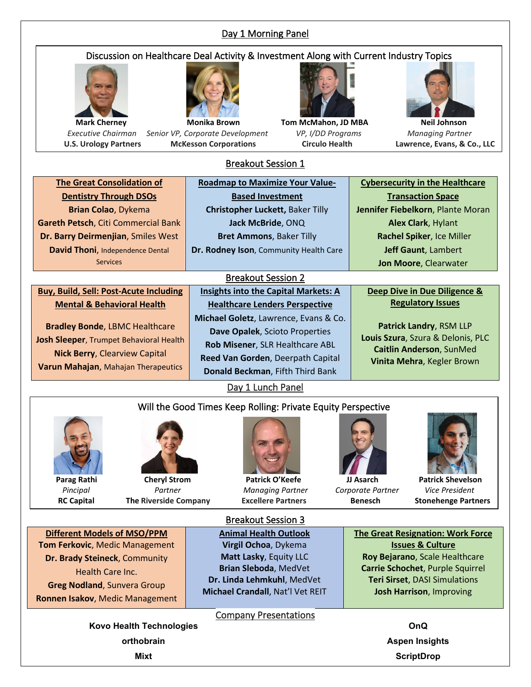#### Day 1 Morning Panel